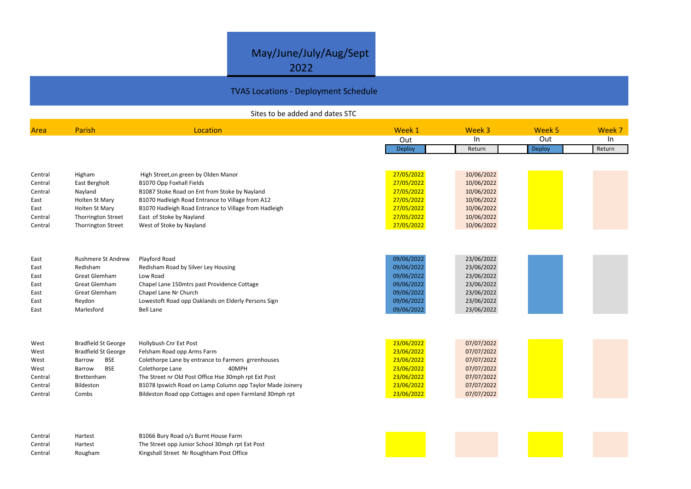## May/June/July/Aug/Sept 2022

## TVAS Locations - Deployment Schedule

## Sites to be added and dates STC

|      | uveek p       | <u>week</u> |
|------|---------------|-------------|
| n    | Out           | n           |
| urn: | <b>Deploy</b> | Return      |









| Area    | Parish                     | Location                                                  | Week 1     | Week 3     | Week 5 | Week 7 |
|---------|----------------------------|-----------------------------------------------------------|------------|------------|--------|--------|
|         |                            |                                                           | Out        | In         | Out    | In     |
|         |                            |                                                           | Deploy     | Return     | Deploy | Return |
|         |                            |                                                           |            |            |        |        |
| Central | Higham                     | High Street, on green by Olden Manor                      | 27/05/2022 | 10/06/2022 |        |        |
| Central | East Bergholt              | B1070 Opp Foxhall Fields                                  | 27/05/2022 | 10/06/2022 |        |        |
| Central | Nayland                    | B1087 Stoke Road on Ent from Stoke by Nayland             | 27/05/2022 | 10/06/2022 |        |        |
| East    | <b>Holten St Mary</b>      | B1070 Hadleigh Road Entrance to Village from A12          | 27/05/2022 | 10/06/2022 |        |        |
| East    | Holten St Mary             | B1070 Hadleigh Road Entrance to Village from Hadleigh     | 27/05/2022 | 10/06/2022 |        |        |
| Central | <b>Thorrington Street</b>  | East of Stoke by Nayland                                  | 27/05/2022 | 10/06/2022 |        |        |
| Central | Thorrington Street         | West of Stoke by Nayland                                  | 27/05/2022 | 10/06/2022 |        |        |
|         |                            |                                                           |            |            |        |        |
|         |                            |                                                           |            |            |        |        |
| East    | <b>Rushmere St Andrew</b>  | Playford Road                                             | 09/06/2022 | 23/06/2022 |        |        |
| East    | Redisham                   | Redisham Road by Silver Ley Housing                       | 09/06/2022 | 23/06/2022 |        |        |
| East    | <b>Great Glemham</b>       | Low Road                                                  | 09/06/2022 | 23/06/2022 |        |        |
| East    | <b>Great Glemham</b>       | Chapel Lane 150mtrs past Providence Cottage               | 09/06/2022 | 23/06/2022 |        |        |
| East    | <b>Great Glemham</b>       | Chapel Lane Nr Church                                     | 09/06/2022 | 23/06/2022 |        |        |
| East    | Reydon                     | Lowestoft Road opp Oaklands on Elderly Persons Sign       | 09/06/2022 | 23/06/2022 |        |        |
| East    | Marlesford                 | <b>Bell Lane</b>                                          | 09/06/2022 | 23/06/2022 |        |        |
|         |                            |                                                           |            |            |        |        |
|         |                            |                                                           |            |            |        |        |
| West    | <b>Bradfield St George</b> | Hollybush Cnr Ext Post                                    | 23/06/2022 | 07/07/2022 |        |        |
| West    | <b>Bradfield St George</b> | Felsham Road opp Arms Farm                                | 23/06/2022 | 07/07/2022 |        |        |
| West    | <b>BSE</b><br>Barrow       | Colethorpe Lane by entrance to Farmers grrenhouses        | 23/06/2022 | 07/07/2022 |        |        |
| West    | <b>BSE</b><br>Barrow       | Colethorpe Lane<br>40MPH                                  | 23/06/2022 | 07/07/2022 |        |        |
| Central | Brettenham                 | The Street nr Old Post Office Hse 30mph rpt Ext Post      | 23/06/2022 | 07/07/2022 |        |        |
| Central | Bildeston                  | B1078 Ipswich Road on Lamp Column opp Taylor Made Joinery | 23/06/2022 | 07/07/2022 |        |        |
| Central | Combs                      | Bildeston Road opp Cottages and open Farmland 30mph rpt   | 23/06/2022 | 07/07/2022 |        |        |
|         |                            |                                                           |            |            |        |        |
|         |                            |                                                           |            |            |        |        |
|         |                            |                                                           |            |            |        |        |

Central Hartest B1066 Bury Road o/s Burnt House Farm The Street opp Junior School 30mph rpt Ext Post Central HartestCentral RoughamKingshall Street Nr Roughham Post Office



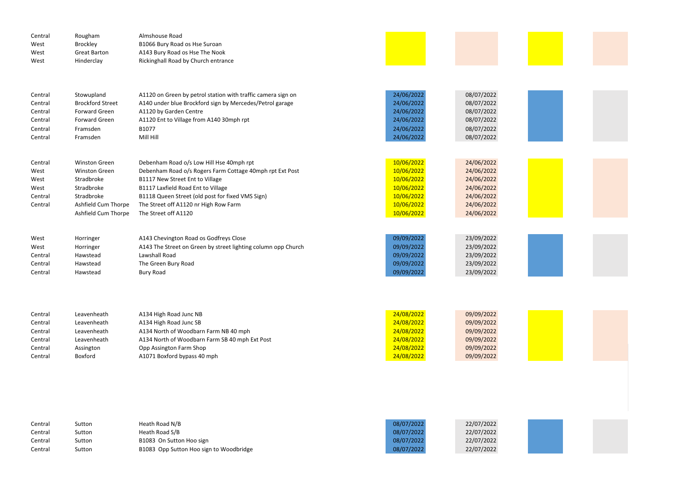| Central<br>West<br>West<br>West | Rougham<br><b>Brockley</b><br><b>Great Barton</b><br>Hinderclay | Almshouse Road<br>B1066 Bury Road os Hse Suroan<br>A143 Bury Road os Hse The Nook<br>Rickinghall Road by Church entrance |            |            |
|---------------------------------|-----------------------------------------------------------------|--------------------------------------------------------------------------------------------------------------------------|------------|------------|
|                                 |                                                                 |                                                                                                                          |            |            |
| Central                         | Stowupland                                                      | A1120 on Green by petrol station with traffic camera sign on                                                             | 24/06/2022 | 08/07/2022 |
| Central                         | <b>Brockford Street</b>                                         | A140 under blue Brockford sign by Mercedes/Petrol garage                                                                 | 24/06/2022 | 08/07/2022 |
| Central                         | Forward Green                                                   | A1120 by Garden Centre                                                                                                   | 24/06/2022 | 08/07/2022 |
| Central                         | Forward Green                                                   | A1120 Ent to Village from A140 30mph rpt                                                                                 | 24/06/2022 | 08/07/2022 |
| Central                         | Framsden                                                        | B1077                                                                                                                    | 24/06/2022 | 08/07/2022 |
| Central                         | Framsden                                                        | Mill Hill                                                                                                                | 24/06/2022 | 08/07/2022 |
|                                 |                                                                 |                                                                                                                          |            |            |
| Central                         | <b>Winston Green</b>                                            | Debenham Road o/s Low Hill Hse 40mph rpt                                                                                 | 10/06/2022 | 24/06/2022 |
| West                            | <b>Winston Green</b>                                            | Debenham Road o/s Rogers Farm Cottage 40mph rpt Ext Post                                                                 | 10/06/2022 | 24/06/2022 |
| West                            | Stradbroke                                                      | B1117 New Street Ent to Village                                                                                          | 10/06/2022 | 24/06/2022 |
| West                            | Stradbroke                                                      | B1117 Laxfield Road Ent to Village                                                                                       | 10/06/2022 | 24/06/2022 |
| Central                         | Stradbroke                                                      | B1118 Queen Street (old post for fixed VMS Sign)                                                                         | 10/06/2022 | 24/06/2022 |
| Central                         | Ashfield Cum Thorpe                                             | The Street off A1120 nr High Row Farm                                                                                    | 10/06/2022 | 24/06/2022 |
|                                 | Ashfield Cum Thorpe                                             | The Street off A1120                                                                                                     | 10/06/2022 | 24/06/2022 |
|                                 |                                                                 |                                                                                                                          |            |            |
| West                            | Horringer                                                       | A143 Chevington Road os Godfreys Close                                                                                   | 09/09/2022 | 23/09/2022 |
| West                            | Horringer                                                       | A143 The Street on Green by street lighting column opp Church                                                            | 09/09/2022 | 23/09/2022 |
| Central                         | Hawstead                                                        | Lawshall Road                                                                                                            | 09/09/2022 | 23/09/2022 |
| Central                         | Hawstead                                                        | The Green Bury Road                                                                                                      | 09/09/2022 | 23/09/2022 |
| Central                         | Hawstead                                                        | <b>Bury Road</b>                                                                                                         | 09/09/2022 | 23/09/2022 |
|                                 |                                                                 |                                                                                                                          |            |            |

| Central | Leavenheath | A134 High Road Junc NB                         | 24/08/2022 | 09/09/2022 |
|---------|-------------|------------------------------------------------|------------|------------|
| Central | Leavenheath | A134 High Road Junc SB                         | 24/08/2022 | 09/09/2022 |
| Central | Leavenheath | A134 North of Woodbarn Farm NB 40 mph          | 24/08/2022 | 09/09/2022 |
| Central | Leavenheath | A134 North of Woodbarn Farm SB 40 mph Ext Post | 24/08/2022 | 09/09/2022 |
| Central | Assington   | Opp Assington Farm Shop                        | 24/08/2022 | 09/09/2022 |
| Central | Boxford     | A1071 Boxford bypass 40 mph                    | 24/08/2022 | 09/09/2022 |

| Central | Sutton | Heath Road N/B                          | 08/07/2022 | 22/07/2022 |
|---------|--------|-----------------------------------------|------------|------------|
| Central | Sutton | Heath Road S/B                          | 08/07/2022 | 22/07/2022 |
| Central | Sutton | B1083 On Sutton Hoo sign                | 08/07/2022 | 22/07/2022 |
| Central | Sutton | B1083 Opp Sutton Hoo sign to Woodbridge | 08/07/2022 | 22/07/2022 |
|         |        |                                         |            |            |